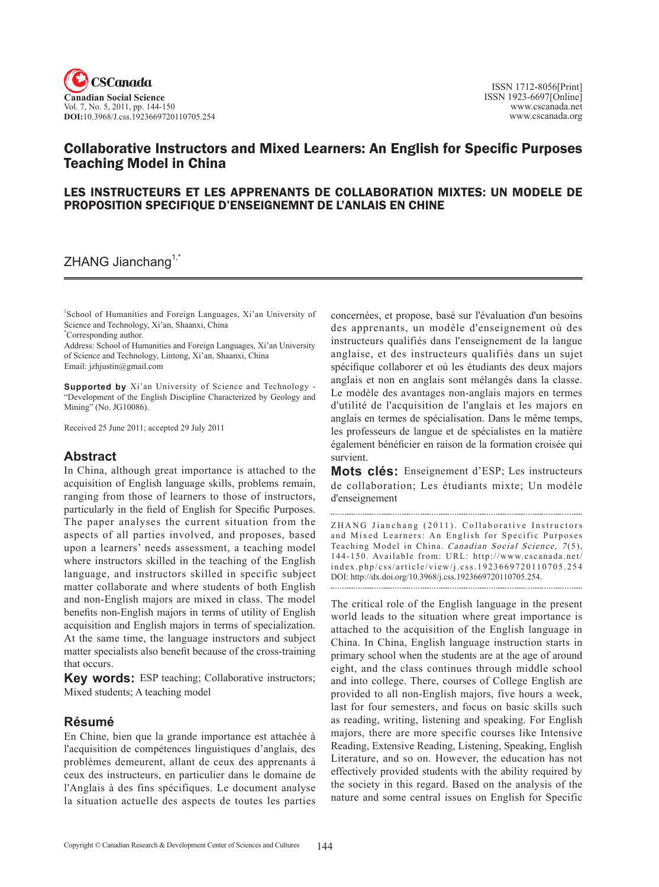

# Collaborative Instructors and Mixed Learners: An English for Specific Purposes Teaching Model in China

### LES INSTRUCTEURS ET LES APPRENANTS DE COLLABORATION MIXTES: UN MODELE DE PROPOSITION SPECIFIQUE D'ENSEIGNEMNT DE L'ANLAIS EN CHINE

 $ZHANG$  Jianchang<sup>1, $\tilde{a}$ </sup>

1 School of Humanities and Foreign Languages, Xi'an University of Science and Technology, Xi'an, Shaanxi, China \* Corresponding author.

Address: School of Humanities and Foreign Languages, Xi'an University of Science and Technology, Lintong, Xi'an, Shaanxi, China Email: jzhjustin@gmail.com

**Supported by** Xi'an University of Science and Technology - "Development of the English Discipline Characterized by Geology and Mining" (No. JG10086).

Received 25 June 2011; accepted 29 July 2011

## **Abstract**

In China, although great importance is attached to the acquisition of English language skills, problems remain, ranging from those of learners to those of instructors, particularly in the field of English for Specific Purposes. The paper analyses the current situation from the aspects of all parties involved, and proposes, based upon a learners' needs assessment, a teaching model where instructors skilled in the teaching of the English language, and instructors skilled in specific subject matter collaborate and where students of both English and non-English majors are mixed in class. The model benefits non-English majors in terms of utility of English acquisition and English majors in terms of specialization. At the same time, the language instructors and subject matter specialists also benefit because of the cross-training that occurs.

**Key words:** ESP teaching; Collaborative instructors; Mixed students; A teaching model

### **Résumé**

En Chine, bien que la grande importance est attachée à l'acquisition de compétences linguistiques d'anglais, des problèmes demeurent, allant de ceux des apprenants à ceux des instructeurs, en particulier dans le domaine de l'Anglais à des fins spécifiques. Le document analyse la situation actuelle des aspects de toutes les parties

concernées, et propose, basé sur l'évaluation d'un besoins des apprenants, un modèle d'enseignement où des instructeurs qualifiés dans l'enseignement de la langue anglaise, et des instructeurs qualifiés dans un sujet spécifique collaborer et où les étudiants des deux majors anglais et non en anglais sont mélangés dans la classe. Le modèle des avantages non-anglais majors en termes d'utilité de l'acquisition de l'anglais et les majors en anglais en termes de spécialisation. Dans le même temps, les professeurs de langue et de spécialistes en la matière également bénéficier en raison de la formation croisée qui survient.

**Mots clés:** Enseignement d'ESP; Les instructeurs de collaboration; Les étudiants mixte; Un modèle d'enseignement

ZHANG Jianchang (2011). Collaborative Instructors and Mixed Learners: An English for Specific Purposes Teaching Model in China. Canadian Social Science, 7(5), 144-150. Available from: URL: http://www.cscanada.net/ index.php/css/article/view/j.css.1923669720110705.254 DOI: http://dx.doi.org/10.3968/j.css.1923669720110705.254. 

The critical role of the English language in the present world leads to the situation where great importance is attached to the acquisition of the English language in China. In China, English language instruction starts in primary school when the students are at the age of around eight, and the class continues through middle school and into college. There, courses of College English are provided to all non-English majors, five hours a week, last for four semesters, and focus on basic skills such as reading, writing, listening and speaking. For English majors, there are more specific courses like Intensive Reading, Extensive Reading, Listening, Speaking, English Literature, and so on. However, the education has not effectively provided students with the ability required by the society in this regard. Based on the analysis of the nature and some central issues on English for Specific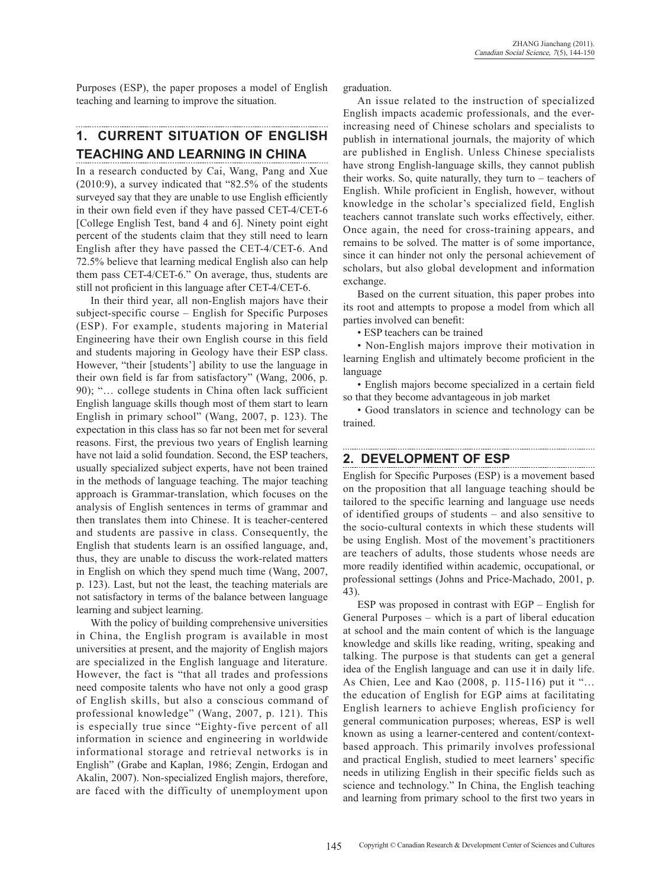Purposes (ESP), the paper proposes a model of English teaching and learning to improve the situation.

# **1. CURRENT SITUATION OF ENGLISH TEACHING AND LEARNING IN CHINA**

In a research conducted by Cai, Wang, Pang and Xue (2010:9), a survey indicated that "82.5% of the students surveyed say that they are unable to use English efficiently in their own field even if they have passed CET-4/CET-6 [College English Test, band 4 and 6]. Ninety point eight percent of the students claim that they still need to learn English after they have passed the CET-4/CET-6. And 72.5% believe that learning medical English also can help them pass CET-4/CET-6." On average, thus, students are still not proficient in this language after CET-4/CET-6.

In their third year, all non-English majors have their subject-specific course – English for Specific Purposes (ESP). For example, students majoring in Material Engineering have their own English course in this field and students majoring in Geology have their ESP class. However, "their [students'] ability to use the language in their own field is far from satisfactory" (Wang, 2006, p. 90); "… college students in China often lack sufficient English language skills though most of them start to learn English in primary school" (Wang, 2007, p. 123). The expectation in this class has so far not been met for several reasons. First, the previous two years of English learning have not laid a solid foundation. Second, the ESP teachers, usually specialized subject experts, have not been trained in the methods of language teaching. The major teaching approach is Grammar-translation, which focuses on the analysis of English sentences in terms of grammar and then translates them into Chinese. It is teacher-centered and students are passive in class. Consequently, the English that students learn is an ossified language, and, thus, they are unable to discuss the work-related matters in English on which they spend much time (Wang, 2007, p. 123). Last, but not the least, the teaching materials are not satisfactory in terms of the balance between language learning and subject learning.

With the policy of building comprehensive universities in China, the English program is available in most universities at present, and the majority of English majors are specialized in the English language and literature. However, the fact is "that all trades and professions need composite talents who have not only a good grasp of English skills, but also a conscious command of professional knowledge" (Wang, 2007, p. 121). This is especially true since "Eighty-five percent of all information in science and engineering in worldwide informational storage and retrieval networks is in English" (Grabe and Kaplan, 1986; Zengin, Erdogan and Akalin, 2007). Non-specialized English majors, therefore, are faced with the difficulty of unemployment upon

graduation.

An issue related to the instruction of specialized English impacts academic professionals, and the everincreasing need of Chinese scholars and specialists to publish in international journals, the majority of which are published in English. Unless Chinese specialists have strong English-language skills, they cannot publish their works. So, quite naturally, they turn to – teachers of English. While proficient in English, however, without knowledge in the scholar's specialized field, English teachers cannot translate such works effectively, either. Once again, the need for cross-training appears, and remains to be solved. The matter is of some importance, since it can hinder not only the personal achievement of scholars, but also global development and information exchange.

Based on the current situation, this paper probes into its root and attempts to propose a model from which all parties involved can benefit:

• ESP teachers can be trained

• Non-English majors improve their motivation in learning English and ultimately become proficient in the language

• English majors become specialized in a certain field so that they become advantageous in job market

• Good translators in science and technology can be trained.

-----------------------

### **2. DEVELOPMENT OF ESP**

English for Specific Purposes (ESP) is a movement based on the proposition that all language teaching should be tailored to the specific learning and language use needs of identified groups of students – and also sensitive to the socio-cultural contexts in which these students will be using English. Most of the movement's practitioners are teachers of adults, those students whose needs are more readily identified within academic, occupational, or professional settings (Johns and Price-Machado, 2001, p. 43).

ESP was proposed in contrast with EGP – English for General Purposes – which is a part of liberal education at school and the main content of which is the language knowledge and skills like reading, writing, speaking and talking. The purpose is that students can get a general idea of the English language and can use it in daily life. As Chien, Lee and Kao (2008, p. 115-116) put it "… the education of English for EGP aims at facilitating English learners to achieve English proficiency for general communication purposes; whereas, ESP is well known as using a learner-centered and content/contextbased approach. This primarily involves professional and practical English, studied to meet learners' specific needs in utilizing English in their specific fields such as science and technology." In China, the English teaching and learning from primary school to the first two years in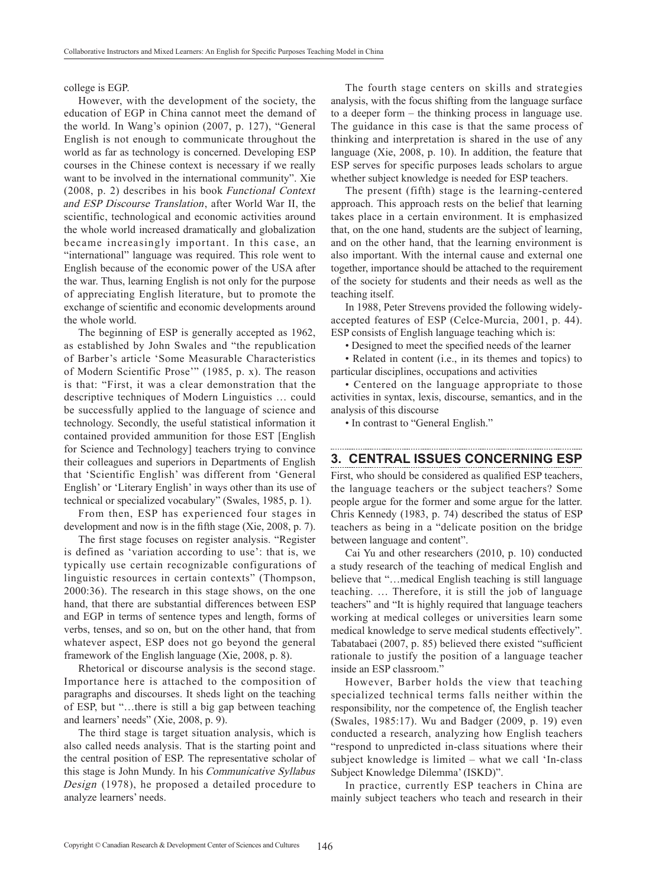#### college is EGP.

However, with the development of the society, the education of EGP in China cannot meet the demand of the world. In Wang's opinion (2007, p. 127), "General English is not enough to communicate throughout the world as far as technology is concerned. Developing ESP courses in the Chinese context is necessary if we really want to be involved in the international community". Xie (2008, p. 2) describes in his book Functional Context and ESP Discourse Translation, after World War II, the scientific, technological and economic activities around the whole world increased dramatically and globalization became increasingly important. In this case, an "international" language was required. This role went to English because of the economic power of the USA after the war. Thus, learning English is not only for the purpose of appreciating English literature, but to promote the exchange of scientific and economic developments around the whole world.

The beginning of ESP is generally accepted as 1962, as established by John Swales and "the republication of Barber's article 'Some Measurable Characteristics of Modern Scientific Prose'" (1985, p. x). The reason is that: "First, it was a clear demonstration that the descriptive techniques of Modern Linguistics … could be successfully applied to the language of science and technology. Secondly, the useful statistical information it contained provided ammunition for those EST [English for Science and Technology] teachers trying to convince their colleagues and superiors in Departments of English that 'Scientific English' was different from 'General English' or 'Literary English' in ways other than its use of technical or specialized vocabulary" (Swales, 1985, p. 1).

From then, ESP has experienced four stages in development and now is in the fifth stage (Xie, 2008, p. 7).

The first stage focuses on register analysis. "Register is defined as 'variation according to use': that is, we typically use certain recognizable configurations of linguistic resources in certain contexts" (Thompson, 2000:36). The research in this stage shows, on the one hand, that there are substantial differences between ESP and EGP in terms of sentence types and length, forms of verbs, tenses, and so on, but on the other hand, that from whatever aspect, ESP does not go beyond the general framework of the English language (Xie, 2008, p. 8).

Rhetorical or discourse analysis is the second stage. Importance here is attached to the composition of paragraphs and discourses. It sheds light on the teaching of ESP, but "…there is still a big gap between teaching and learners' needs" (Xie, 2008, p. 9).

The third stage is target situation analysis, which is also called needs analysis. That is the starting point and the central position of ESP. The representative scholar of this stage is John Mundy. In his Communicative Syllabus Design (1978), he proposed a detailed procedure to analyze learners' needs.

The fourth stage centers on skills and strategies analysis, with the focus shifting from the language surface to a deeper form – the thinking process in language use. The guidance in this case is that the same process of thinking and interpretation is shared in the use of any language (Xie, 2008, p. 10). In addition, the feature that ESP serves for specific purposes leads scholars to argue whether subject knowledge is needed for ESP teachers.

The present (fifth) stage is the learning-centered approach. This approach rests on the belief that learning takes place in a certain environment. It is emphasized that, on the one hand, students are the subject of learning, and on the other hand, that the learning environment is also important. With the internal cause and external one together, importance should be attached to the requirement of the society for students and their needs as well as the teaching itself.

In 1988, Peter Strevens provided the following widelyaccepted features of ESP (Celce-Murcia, 2001, p. 44). ESP consists of English language teaching which is:

• Designed to meet the specified needs of the learner

• Related in content (i.e., in its themes and topics) to particular disciplines, occupations and activities

• Centered on the language appropriate to those activities in syntax, lexis, discourse, semantics, and in the analysis of this discourse

• In contrast to "General English."

#### **3. CENTRAL ISSUES CONCERNING ESP**

First, who should be considered as qualified ESP teachers, the language teachers or the subject teachers? Some people argue for the former and some argue for the latter. Chris Kennedy (1983, p. 74) described the status of ESP teachers as being in a "delicate position on the bridge between language and content".

Cai Yu and other researchers (2010, p. 10) conducted a study research of the teaching of medical English and believe that "…medical English teaching is still language teaching. … Therefore, it is still the job of language teachers" and "It is highly required that language teachers working at medical colleges or universities learn some medical knowledge to serve medical students effectively". Tabatabaei (2007, p. 85) believed there existed "sufficient rationale to justify the position of a language teacher inside an ESP classroom."

However, Barber holds the view that teaching specialized technical terms falls neither within the responsibility, nor the competence of, the English teacher (Swales, 1985:17). Wu and Badger (2009, p. 19) even conducted a research, analyzing how English teachers "respond to unpredicted in-class situations where their subject knowledge is limited – what we call 'In-class Subject Knowledge Dilemma' (ISKD)".

In practice, currently ESP teachers in China are mainly subject teachers who teach and research in their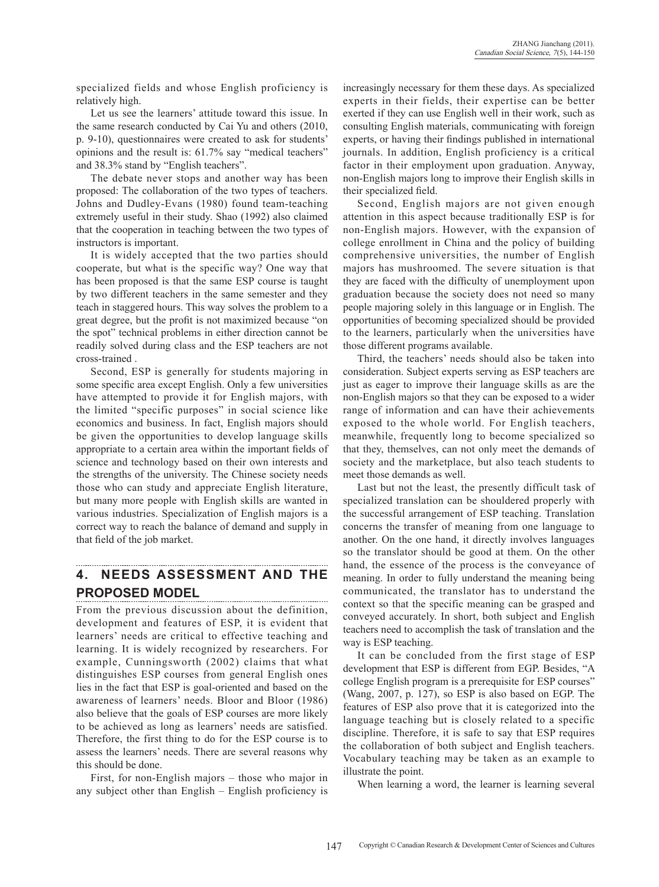specialized fields and whose English proficiency is relatively high.

Let us see the learners' attitude toward this issue. In the same research conducted by Cai Yu and others (2010, p. 9-10), questionnaires were created to ask for students' opinions and the result is: 61.7% say "medical teachers" and 38.3% stand by "English teachers".

The debate never stops and another way has been proposed: The collaboration of the two types of teachers. Johns and Dudley-Evans (1980) found team-teaching extremely useful in their study. Shao (1992) also claimed that the cooperation in teaching between the two types of instructors is important.

It is widely accepted that the two parties should cooperate, but what is the specific way? One way that has been proposed is that the same ESP course is taught by two different teachers in the same semester and they teach in staggered hours. This way solves the problem to a great degree, but the profit is not maximized because "on the spot" technical problems in either direction cannot be readily solved during class and the ESP teachers are not cross-trained .

Second, ESP is generally for students majoring in some specific area except English. Only a few universities have attempted to provide it for English majors, with the limited "specific purposes" in social science like economics and business. In fact, English majors should be given the opportunities to develop language skills appropriate to a certain area within the important fields of science and technology based on their own interests and the strengths of the university. The Chinese society needs those who can study and appreciate English literature, but many more people with English skills are wanted in various industries. Specialization of English majors is a correct way to reach the balance of demand and supply in that field of the job market.

### **4. NEEDS ASSESSMENT AND THE PROPOSED MODEL**

From the previous discussion about the definition, development and features of ESP, it is evident that learners' needs are critical to effective teaching and learning. It is widely recognized by researchers. For example, Cunningsworth (2002) claims that what distinguishes ESP courses from general English ones lies in the fact that ESP is goal-oriented and based on the awareness of learners' needs. Bloor and Bloor (1986) also believe that the goals of ESP courses are more likely to be achieved as long as learners' needs are satisfied. Therefore, the first thing to do for the ESP course is to assess the learners' needs. There are several reasons why this should be done.

First, for non-English majors – those who major in any subject other than English – English proficiency is increasingly necessary for them these days. As specialized experts in their fields, their expertise can be better exerted if they can use English well in their work, such as consulting English materials, communicating with foreign experts, or having their findings published in international journals. In addition, English proficiency is a critical factor in their employment upon graduation. Anyway, non-English majors long to improve their English skills in their specialized field.

Second, English majors are not given enough attention in this aspect because traditionally ESP is for non-English majors. However, with the expansion of college enrollment in China and the policy of building comprehensive universities, the number of English majors has mushroomed. The severe situation is that they are faced with the difficulty of unemployment upon graduation because the society does not need so many people majoring solely in this language or in English. The opportunities of becoming specialized should be provided to the learners, particularly when the universities have those different programs available.

Third, the teachers' needs should also be taken into consideration. Subject experts serving as ESP teachers are just as eager to improve their language skills as are the non-English majors so that they can be exposed to a wider range of information and can have their achievements exposed to the whole world. For English teachers, meanwhile, frequently long to become specialized so that they, themselves, can not only meet the demands of society and the marketplace, but also teach students to meet those demands as well.

Last but not the least, the presently difficult task of specialized translation can be shouldered properly with the successful arrangement of ESP teaching. Translation concerns the transfer of meaning from one language to another. On the one hand, it directly involves languages so the translator should be good at them. On the other hand, the essence of the process is the conveyance of meaning. In order to fully understand the meaning being communicated, the translator has to understand the context so that the specific meaning can be grasped and conveyed accurately. In short, both subject and English teachers need to accomplish the task of translation and the way is ESP teaching.

It can be concluded from the first stage of ESP development that ESP is different from EGP. Besides, "A college English program is a prerequisite for ESP courses" (Wang, 2007, p. 127), so ESP is also based on EGP. The features of ESP also prove that it is categorized into the language teaching but is closely related to a specific discipline. Therefore, it is safe to say that ESP requires the collaboration of both subject and English teachers. Vocabulary teaching may be taken as an example to illustrate the point.

When learning a word, the learner is learning several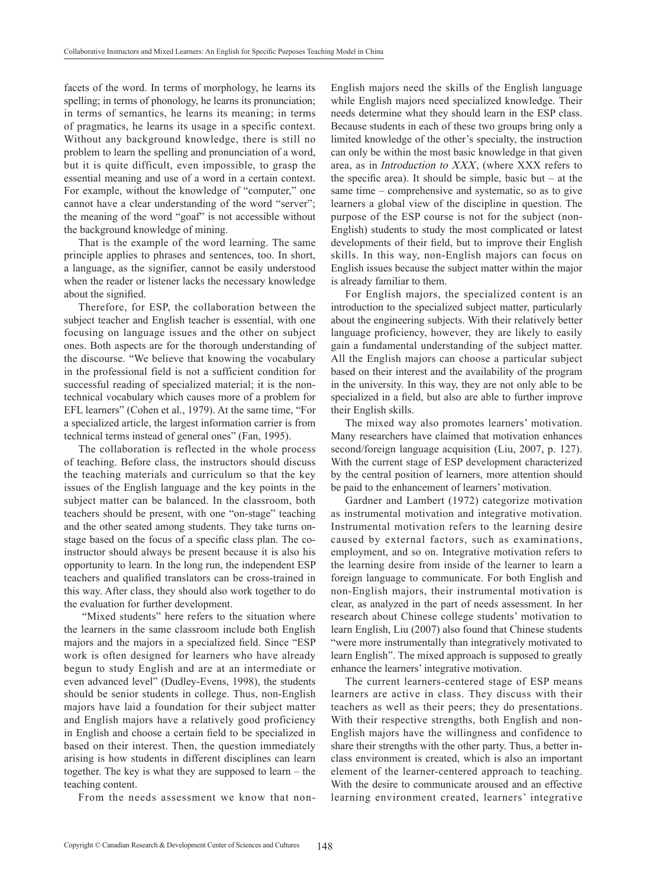facets of the word. In terms of morphology, he learns its spelling; in terms of phonology, he learns its pronunciation; in terms of semantics, he learns its meaning; in terms of pragmatics, he learns its usage in a specific context. Without any background knowledge, there is still no problem to learn the spelling and pronunciation of a word, but it is quite difficult, even impossible, to grasp the essential meaning and use of a word in a certain context. For example, without the knowledge of "computer," one cannot have a clear understanding of the word "server"; the meaning of the word "goaf" is not accessible without the background knowledge of mining.

That is the example of the word learning. The same principle applies to phrases and sentences, too. In short, a language, as the signifier, cannot be easily understood when the reader or listener lacks the necessary knowledge about the signified.

Therefore, for ESP, the collaboration between the subject teacher and English teacher is essential, with one focusing on language issues and the other on subject ones. Both aspects are for the thorough understanding of the discourse. "We believe that knowing the vocabulary in the professional field is not a sufficient condition for successful reading of specialized material; it is the nontechnical vocabulary which causes more of a problem for EFL learners" (Cohen et al., 1979). At the same time, "For a specialized article, the largest information carrier is from technical terms instead of general ones" (Fan, 1995).

The collaboration is reflected in the whole process of teaching. Before class, the instructors should discuss the teaching materials and curriculum so that the key issues of the English language and the key points in the subject matter can be balanced. In the classroom, both teachers should be present, with one "on-stage" teaching and the other seated among students. They take turns onstage based on the focus of a specific class plan. The coinstructor should always be present because it is also his opportunity to learn. In the long run, the independent ESP teachers and qualified translators can be cross-trained in this way. After class, they should also work together to do the evaluation for further development.

 "Mixed students" here refers to the situation where the learners in the same classroom include both English majors and the majors in a specialized field. Since "ESP work is often designed for learners who have already begun to study English and are at an intermediate or even advanced level" (Dudley-Evens, 1998), the students should be senior students in college. Thus, non-English majors have laid a foundation for their subject matter and English majors have a relatively good proficiency in English and choose a certain field to be specialized in based on their interest. Then, the question immediately arising is how students in different disciplines can learn together. The key is what they are supposed to learn – the teaching content.

From the needs assessment we know that non-

English majors need the skills of the English language while English majors need specialized knowledge. Their needs determine what they should learn in the ESP class. Because students in each of these two groups bring only a limited knowledge of the other's specialty, the instruction can only be within the most basic knowledge in that given area, as in Introduction to XXX, (where XXX refers to the specific area). It should be simple, basic but  $-$  at the same time – comprehensive and systematic, so as to give learners a global view of the discipline in question. The purpose of the ESP course is not for the subject (non-English) students to study the most complicated or latest developments of their field, but to improve their English skills. In this way, non-English majors can focus on English issues because the subject matter within the major is already familiar to them.

For English majors, the specialized content is an introduction to the specialized subject matter, particularly about the engineering subjects. With their relatively better language proficiency, however, they are likely to easily gain a fundamental understanding of the subject matter. All the English majors can choose a particular subject based on their interest and the availability of the program in the university. In this way, they are not only able to be specialized in a field, but also are able to further improve their English skills.

The mixed way also promotes learners' motivation. Many researchers have claimed that motivation enhances second/foreign language acquisition (Liu, 2007, p. 127). With the current stage of ESP development characterized by the central position of learners, more attention should be paid to the enhancement of learners' motivation.

Gardner and Lambert (1972) categorize motivation as instrumental motivation and integrative motivation. Instrumental motivation refers to the learning desire caused by external factors, such as examinations, employment, and so on. Integrative motivation refers to the learning desire from inside of the learner to learn a foreign language to communicate. For both English and non-English majors, their instrumental motivation is clear, as analyzed in the part of needs assessment. In her research about Chinese college students' motivation to learn English, Liu (2007) also found that Chinese students "were more instrumentally than integratively motivated to learn English". The mixed approach is supposed to greatly enhance the learners' integrative motivation.

The current learners-centered stage of ESP means learners are active in class. They discuss with their teachers as well as their peers; they do presentations. With their respective strengths, both English and non-English majors have the willingness and confidence to share their strengths with the other party. Thus, a better inclass environment is created, which is also an important element of the learner-centered approach to teaching. With the desire to communicate aroused and an effective learning environment created, learners' integrative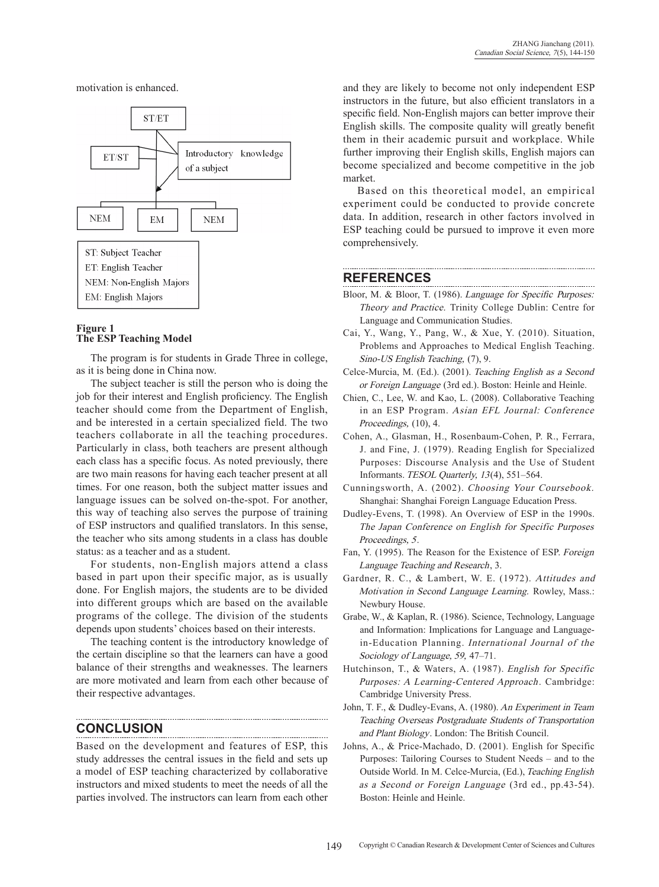motivation is enhanced.



#### **Figure 1 The ESP Teaching Model**

The program is for students in Grade Three in college, as it is being done in China now.

The subject teacher is still the person who is doing the job for their interest and English proficiency. The English teacher should come from the Department of English, and be interested in a certain specialized field. The two teachers collaborate in all the teaching procedures. Particularly in class, both teachers are present although each class has a specific focus. As noted previously, there are two main reasons for having each teacher present at all times. For one reason, both the subject matter issues and language issues can be solved on-the-spot. For another, this way of teaching also serves the purpose of training of ESP instructors and qualified translators. In this sense, the teacher who sits among students in a class has double status: as a teacher and as a student.

For students, non-English majors attend a class based in part upon their specific major, as is usually done. For English majors, the students are to be divided into different groups which are based on the available programs of the college. The division of the students depends upon students' choices based on their interests.

The teaching content is the introductory knowledge of the certain discipline so that the learners can have a good balance of their strengths and weaknesses. The learners are more motivated and learn from each other because of their respective advantages.

### **CONCLUSION**

Based on the development and features of ESP, this study addresses the central issues in the field and sets up a model of ESP teaching characterized by collaborative instructors and mixed students to meet the needs of all the parties involved. The instructors can learn from each other and they are likely to become not only independent ESP instructors in the future, but also efficient translators in a specific field. Non-English majors can better improve their English skills. The composite quality will greatly benefit them in their academic pursuit and workplace. While further improving their English skills, English majors can become specialized and become competitive in the job market.

Based on this theoretical model, an empirical experiment could be conducted to provide concrete data. In addition, research in other factors involved in ESP teaching could be pursued to improve it even more comprehensively.

### **REFERENCES**

- Bloor, M. & Bloor, T. (1986). Language for Specific Purposes: Theory and practice. Trinity College Dublin: Centre for Language and Communication Studies.
- Cai, Y., Wang, Y., Pang, W., & Xue, Y. (2010). Situation, Problems and Approaches to Medical English Teaching. Sino-US English Teaching, (7), 9.
- Celce-Murcia, M. (Ed.). (2001). Teaching English as a Second or Foreign Language (3rd ed.). Boston: Heinle and Heinle.
- Chien, C., Lee, W. and Kao, L. (2008). Collaborative Teaching in an ESP Program. Asian EFL Journal: Conference Proceedings, (10), 4.
- Cohen, A., Glasman, H., Rosenbaum-Cohen, P. R., Ferrara, J. and Fine, J. (1979). Reading English for specialized Purposes: Discourse Analysis and the Use of Student Informants. TESOL Quarterly, 13(4), 551-564.
- Cunningsworth, A. (2002). Choosing Your Coursebook. Shanghai: Shanghai Foreign Language Education Press.
- Dudley-Evens, T. (1998). An Overview of ESP in the 1990s. The Japan Conference on English for Specific Purposes Proceedings, 5.
- Fan, Y. (1995). The Reason for the Existence of ESP. Foreign Language Teaching and Research, 3.
- Gardner, R. C., & Lambert, W. E. (1972). Attitudes and Motivation in Second Language Learning. Rowley, Mass.: Newbury House.
- Grabe, W., & Kaplan, R. (1986). Science, technology, language and information: Implications for language and languagein-Education Planning. International Journal of the Sociology of Language, 59, 47–71.
- Hutchinson, T., & Waters, A. (1987). English for Specific Purposes: A Learning-Centered Approach. Cambridge: Cambridge University Press.
- John, T. F., & Dudley-Evans, A. (1980). An Experiment in Team Teaching Overseas Postgraduate Students of Transportation and Plant Biology. London: The British Council.
- Johns, A., & Price-Machado, D. (2001). English for Specific Purposes: Tailoring Courses to Student Needs – and to the Outside World. In M. Celce-Murcia, (Ed.), Teaching English as a Second or Foreign Language (3rd ed., pp.43-54). Boston: Heinle and Heinle.